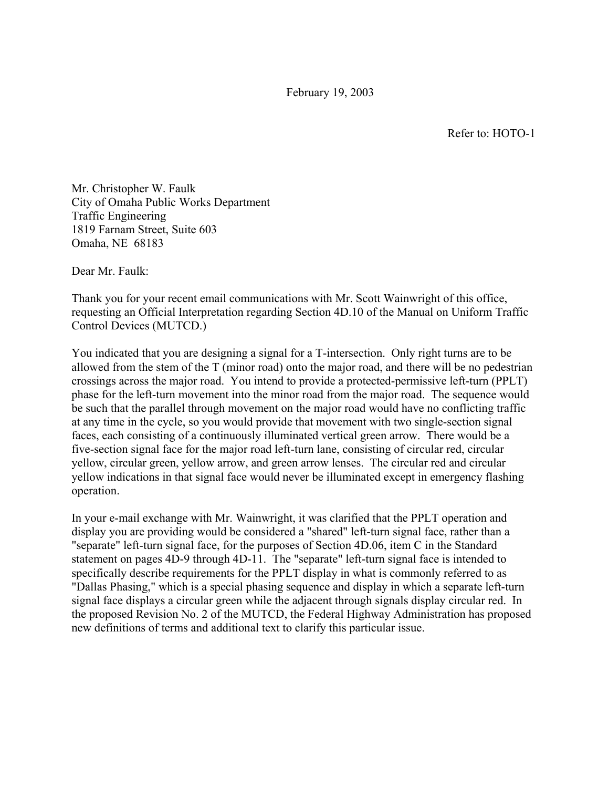February 19, 2003

Refer to: HOTO-1

Mr. Christopher W. Faulk City of Omaha Public Works Department Traffic Engineering 1819 Farnam Street, Suite 603 Omaha, NE 68183

Dear Mr. Faulk:

Thank you for your recent email communications with Mr. Scott Wainwright of this office, requesting an Official Interpretation regarding Section 4D.10 of the Manual on Uniform Traffic Control Devices (MUTCD.)

You indicated that you are designing a signal for a T-intersection. Only right turns are to be allowed from the stem of the T (minor road) onto the major road, and there will be no pedestrian crossings across the major road. You intend to provide a protected-permissive left-turn (PPLT) phase for the left-turn movement into the minor road from the major road. The sequence would be such that the parallel through movement on the major road would have no conflicting traffic at any time in the cycle, so you would provide that movement with two single-section signal faces, each consisting of a continuously illuminated vertical green arrow. There would be a five-section signal face for the major road left-turn lane, consisting of circular red, circular yellow, circular green, yellow arrow, and green arrow lenses. The circular red and circular yellow indications in that signal face would never be illuminated except in emergency flashing operation.

In your e-mail exchange with Mr. Wainwright, it was clarified that the PPLT operation and display you are providing would be considered a "shared" left-turn signal face, rather than a "separate" left-turn signal face, for the purposes of Section 4D.06, item C in the Standard statement on pages 4D-9 through 4D-11. The "separate" left-turn signal face is intended to specifically describe requirements for the PPLT display in what is commonly referred to as "Dallas Phasing," which is a special phasing sequence and display in which a separate left-turn signal face displays a circular green while the adjacent through signals display circular red. In the proposed Revision No. 2 of the MUTCD, the Federal Highway Administration has proposed new definitions of terms and additional text to clarify this particular issue.